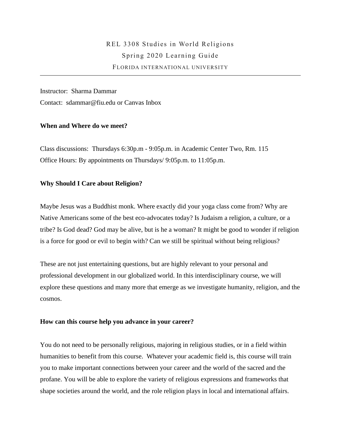# REL 3308 Studies in World Religions Spring 2020 Learning Guide FLORIDA INTERNATIONAL UNIVERSITY

Instructor: Sharma Dammar Contact: [sdammar@fiu.edu](mailto:sdammar@fiu.edu) or Canvas Inbox

## **When and Where do we meet?**

Class discussions: Thursdays 6:30p.m - 9:05p.m. in Academic Center Two, Rm. 115 Office Hours: By appointments on Thursdays/ 9:05p.m. to 11:05p.m.

## **Why Should I Care about Religion?**

Maybe Jesus was a Buddhist monk. Where exactly did your yoga class come from? Why are Native Americans some of the best eco-advocates today? Is Judaism a religion, a culture, or a tribe? Is God dead? God may be alive, but is he a woman? It might be good to wonder if religion is a force for good or evil to begin with? Can we still be spiritual without being religious?

These are not just entertaining questions, but are highly relevant to your personal and professional development in our globalized world. In this interdisciplinary course, we will explore these questions and many more that emerge as we investigate humanity, religion, and the cosmos.

#### **How can this course help you advance in your career?**

You do not need to be personally religious, majoring in religious studies, or in a field within humanities to benefit from this course. Whatever your academic field is, this course will train you to make important connections between your career and the world of the sacred and the profane. You will be able to explore the variety of religious expressions and frameworks that shape societies around the world, and the role religion plays in local and international affairs.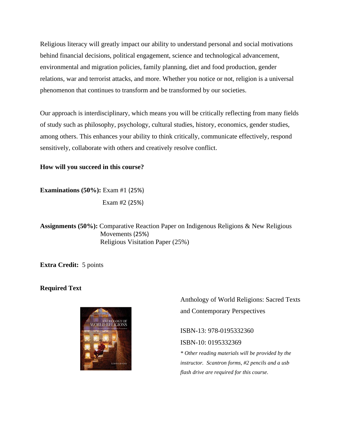Religious literacy will greatly impact our ability to understand personal and social motivations behind financial decisions, political engagement, science and technological advancement, environmental and migration policies, family planning, diet and food production, gender relations, war and terrorist attacks, and more. Whether you notice or not, religion is a universal phenomenon that continues to transform and be transformed by our societies.

Our approach is interdisciplinary, which means you will be critically reflecting from many fields of study such as philosophy, psychology, cultural studies, history, economics, gender studies, among others. This enhances your ability to think critically, communicate effectively, respond sensitively, collaborate with others and creatively resolve conflict.

# **How will you succeed in this course?**

**Examinations (50%):** Exam #1 (25%) Exam #2 (25%)

**Assignments (50%):** Comparative Reaction Paper on Indigenous Religions & New Religious Movements (25%) Religious Visitation Paper (25%)

**Extra Credit:** 5 points

# **Required Text**



Anthology of World Religions: Sacred Texts and Contemporary Perspectives

ISBN-13: 978-0195332360 ISBN-10: 0195332369

*\* Other reading materials will be provided by the instructor. Scantron forms, #2 pencils and a usb flash drive are required for this course.*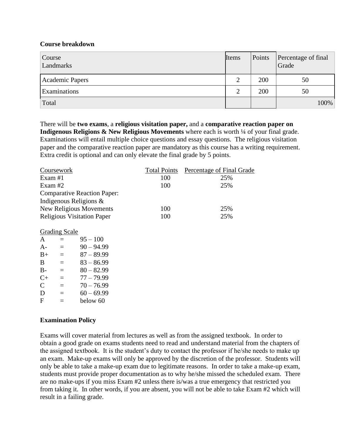# **Course breakdown**

| Course<br>Landmarks    | Items | Points | Percentage of final<br>Grade |
|------------------------|-------|--------|------------------------------|
| <b>Academic Papers</b> | 2     | 200    | 50                           |
| Examinations           | 2     | 200    | 50                           |
| Total                  |       |        | 100%                         |

There will be **two exams**, a **religious visitation paper,** and a **comparative reaction paper on Indigenous Religions & New Religious Movements** where each is worth <sup>1</sup>/4 of your final grade. Examinations will entail multiple choice questions and essay questions. The religious visitation paper and the comparative reaction paper are mandatory as this course has a writing requirement. Extra credit is optional and can only elevate the final grade by 5 points.

| Coursework                         | <b>Total Points</b> | Percentage of Final Grade |
|------------------------------------|---------------------|---------------------------|
| Exam $#1$                          | 100                 | 25%                       |
| Exam $#2$                          | 100                 | 25%                       |
| <b>Comparative Reaction Paper:</b> |                     |                           |
| Indigenous Religions $\&$          |                     |                           |
| New Religious Movements            | 100                 | 25%                       |
| <b>Religious Visitation Paper</b>  | 100                 | 25%                       |

## Grading Scale

| A         | $\equiv$ | $95 - 100$   |
|-----------|----------|--------------|
| $A -$     | $\equiv$ | $90 - 94.99$ |
| $B+$      | $\equiv$ | $87 - 89.99$ |
| B         | $\equiv$ | $83 - 86.99$ |
| $B -$     | $\equiv$ | $80 - 82.99$ |
| $C_{\pm}$ | $\equiv$ | $77 - 79.99$ |
| C         | $=$      | $70 - 76.99$ |
| D         | $\equiv$ | $60 - 69.99$ |
| F         | $=$      | below 60     |

## **Examination Policy**

Exams will cover material from lectures as well as from the assigned textbook. In order to obtain a good grade on exams students need to read and understand material from the chapters of the assigned textbook. It is the student's duty to contact the professor if he/she needs to make up an exam. Make-up exams will only be approved by the discretion of the professor. Students will only be able to take a make-up exam due to legitimate reasons. In order to take a make-up exam, students must provide proper documentation as to why he/she missed the scheduled exam. There are no make-ups if you miss Exam #2 unless there is/was a true emergency that restricted you from taking it. In other words, if you are absent, you will not be able to take Exam #2 which will result in a failing grade.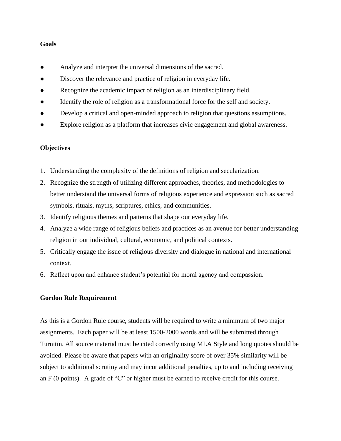## **Goals**

- Analyze and interpret the universal dimensions of the sacred.
- Discover the relevance and practice of religion in everyday life.
- Recognize the academic impact of religion as an interdisciplinary field.
- Identify the role of religion as a transformational force for the self and society.
- Develop a critical and open-minded approach to religion that questions assumptions.
- Explore religion as a platform that increases civic engagement and global awareness.

## **Objectives**

- 1. Understanding the complexity of the definitions of religion and secularization.
- 2. Recognize the strength of utilizing different approaches, theories, and methodologies to better understand the universal forms of religious experience and expression such as sacred symbols, rituals, myths, scriptures, ethics, and communities.
- 3. Identify religious themes and patterns that shape our everyday life.
- 4. Analyze a wide range of religious beliefs and practices as an avenue for better understanding religion in our individual, cultural, economic, and political contexts.
- 5. Critically engage the issue of religious diversity and dialogue in national and international context.
- 6. Reflect upon and enhance student's potential for moral agency and compassion.

#### **Gordon Rule Requirement**

As this is a Gordon Rule course, students will be required to write a minimum of two major assignments. Each paper will be at least 1500-2000 words and will be submitted through Turnitin. All source material must be cited correctly using MLA Style and long quotes should be avoided. Please be aware that papers with an originality score of over 35% similarity will be subject to additional scrutiny and may incur additional penalties, up to and including receiving an F (0 points). A grade of "C" or higher must be earned to receive credit for this course.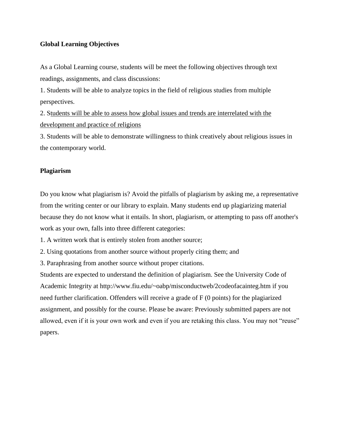## **Global Learning Objectives**

As a Global Learning course, students will be meet the following objectives through text readings, assignments, and class discussions:

1. Students will be able to analyze topics in the field of religious studies from multiple perspectives.

2. Students will be able to assess how global issues and trends are interrelated with the development and practice of religions

3. Students will be able to demonstrate willingness to think creatively about religious issues in the contemporary world.

#### **Plagiarism**

Do you know what plagiarism is? Avoid the pitfalls of plagiarism by asking me, a representative from the writing center or our library to explain. Many students end up plagiarizing material because they do not know what it entails. In short, plagiarism, or attempting to pass off another's work as your own, falls into three different categories:

1. A written work that is entirely stolen from another source;

- 2. Using quotations from another source without properly citing them; and
- 3. Paraphrasing from another source without proper citations.

Students are expected to understand the definition of plagiarism. See the University Code of Academic Integrity at http://www.fiu.edu/~oabp/misconductweb/2codeofacainteg.htm if you need further clarification. Offenders will receive a grade of F (0 points) for the plagiarized assignment, and possibly for the course. Please be aware: Previously submitted papers are not allowed, even if it is your own work and even if you are retaking this class. You may not "reuse" papers.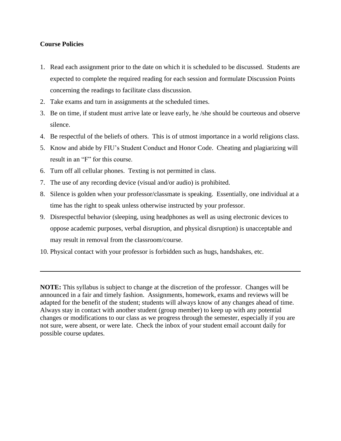## **Course Policies**

- 1. Read each assignment prior to the date on which it is scheduled to be discussed. Students are expected to complete the required reading for each session and formulate Discussion Points concerning the readings to facilitate class discussion.
- 2. Take exams and turn in assignments at the scheduled times.
- 3. Be on time, if student must arrive late or leave early, he /she should be courteous and observe silence.
- 4. Be respectful of the beliefs of others. This is of utmost importance in a world religions class.
- 5. Know and abide by FIU's Student Conduct and Honor Code. Cheating and plagiarizing will result in an "F" for this course.
- 6. Turn off all cellular phones. Texting is not permitted in class.
- 7. The use of any recording device (visual and/or audio) is prohibited.
- 8. Silence is golden when your professor/classmate is speaking. Essentially, one individual at a time has the right to speak unless otherwise instructed by your professor.
- 9. Disrespectful behavior (sleeping, using headphones as well as using electronic devices to oppose academic purposes, verbal disruption, and physical disruption) is unacceptable and may result in removal from the classroom/course.
- 10. Physical contact with your professor is forbidden such as hugs, handshakes, etc.

**NOTE:** This syllabus is subject to change at the discretion of the professor. Changes will be announced in a fair and timely fashion. Assignments, homework, exams and reviews will be adapted for the benefit of the student; students will always know of any changes ahead of time. Always stay in contact with another student (group member) to keep up with any potential changes or modifications to our class as we progress through the semester, especially if you are not sure, were absent, or were late. Check the inbox of your student email account daily for possible course updates.